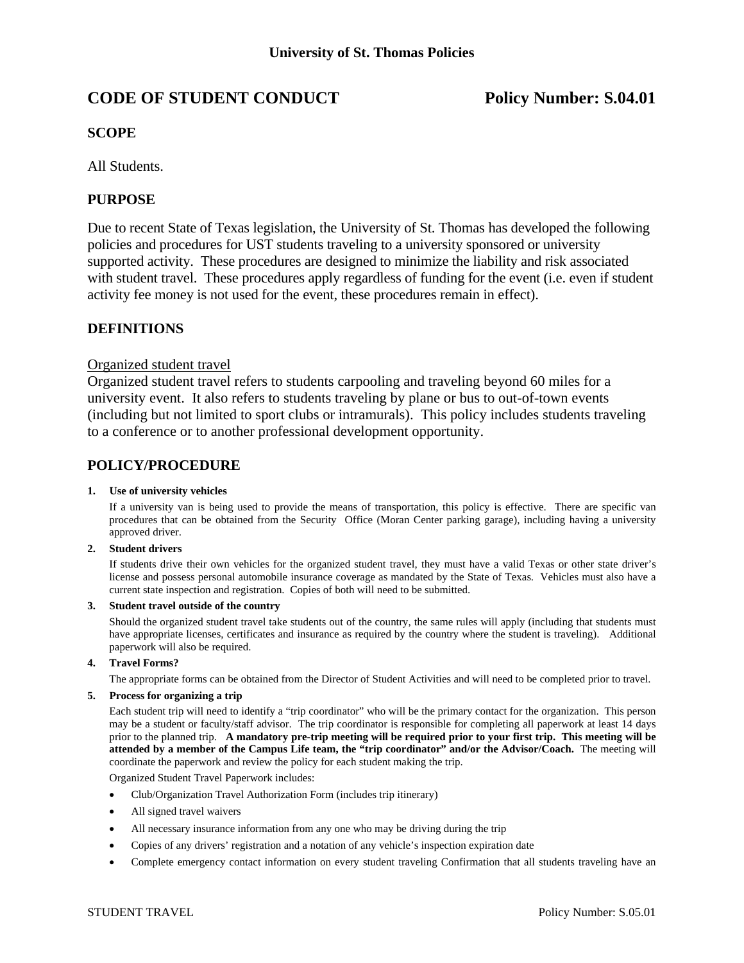# **CODE OF STUDENT CONDUCT** Policy Number: S.04.01

## **SCOPE**

All Students.

## **PURPOSE**

Due to recent State of Texas legislation, the University of St. Thomas has developed the following policies and procedures for UST students traveling to a university sponsored or university supported activity. These procedures are designed to minimize the liability and risk associated with student travel. These procedures apply regardless of funding for the event (i.e. even if student activity fee money is not used for the event, these procedures remain in effect).

## **DEFINITIONS**

## Organized student travel

Organized student travel refers to students carpooling and traveling beyond 60 miles for a university event. It also refers to students traveling by plane or bus to out-of-town events (including but not limited to sport clubs or intramurals). This policy includes students traveling to a conference or to another professional development opportunity.

## **POLICY/PROCEDURE**

#### **1. Use of university vehicles**

 If a university van is being used to provide the means of transportation, this policy is effective. There are specific van procedures that can be obtained from the Security Office (Moran Center parking garage), including having a university approved driver.

#### **2. Student drivers**

 If students drive their own vehicles for the organized student travel, they must have a valid Texas or other state driver's license and possess personal automobile insurance coverage as mandated by the State of Texas. Vehicles must also have a current state inspection and registration. Copies of both will need to be submitted.

#### **3. Student travel outside of the country**

 Should the organized student travel take students out of the country, the same rules will apply (including that students must have appropriate licenses, certificates and insurance as required by the country where the student is traveling). Additional paperwork will also be required.

### **4. Travel Forms?**

The appropriate forms can be obtained from the Director of Student Activities and will need to be completed prior to travel.

### **5. Process for organizing a trip**

 Each student trip will need to identify a "trip coordinator" who will be the primary contact for the organization. This person may be a student or faculty/staff advisor. The trip coordinator is responsible for completing all paperwork at least 14 days prior to the planned trip. **A mandatory pre-trip meeting will be required prior to your first trip. This meeting will be attended by a member of the Campus Life team, the "trip coordinator" and/or the Advisor/Coach.** The meeting will coordinate the paperwork and review the policy for each student making the trip.

Organized Student Travel Paperwork includes:

- Club/Organization Travel Authorization Form (includes trip itinerary)
- All signed travel waivers
- All necessary insurance information from any one who may be driving during the trip
- Copies of any drivers' registration and a notation of any vehicle's inspection expiration date
- Complete emergency contact information on every student traveling Confirmation that all students traveling have an